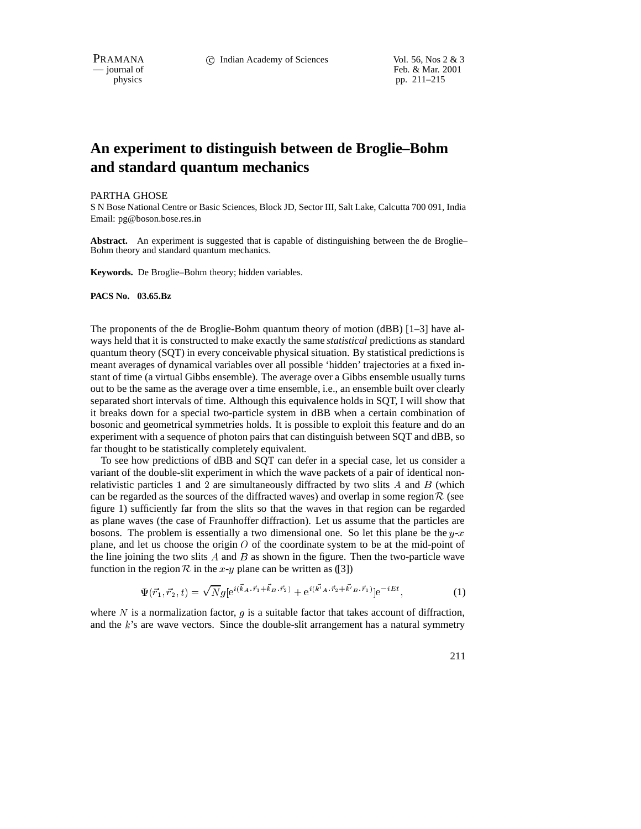PRAMANA 
<sup>c</sup> Indian Academy of Sciences Vol. 56, Nos 2 & 3<br>  $-$  journal of Feb. & Mar. 2001 Feb. & Mar. 2001 physics pp. 211–215

# **An experiment to distinguish between de Broglie–Bohm and standard quantum mechanics**

#### PARTHA GHOSE

S N Bose National Centre or Basic Sciences, Block JD, Sector III, Salt Lake, Calcutta 700 091, India Email: pg@boson.bose.res.in

Abstract. An experiment is suggested that is capable of distinguishing between the de Broglie– Bohm theory and standard quantum mechanics.

**Keywords.** De Broglie–Bohm theory; hidden variables.

#### **PACS No. 03.65.Bz**

The proponents of the de Broglie-Bohm quantum theory of motion (dBB) [1–3] have always held that it is constructed to make exactly the same *statistical* predictions as standard quantum theory (SQT) in every conceivable physical situation. By statistical predictions is meant averages of dynamical variables over all possible 'hidden' trajectories at a fixed instant of time (a virtual Gibbs ensemble). The average over a Gibbs ensemble usually turns out to be the same as the average over a time ensemble, i.e., an ensemble built over clearly separated short intervals of time. Although this equivalence holds in SQT, I will show that it breaks down for a special two-particle system in dBB when a certain combination of bosonic and geometrical symmetries holds. It is possible to exploit this feature and do an experiment with a sequence of photon pairs that can distinguish between SQT and dBB, so far thought to be statistically completely equivalent.

To see how predictions of dBB and SQT can defer in a special case, let us consider a variant of the double-slit experiment in which the wave packets of a pair of identical nonrelativistic particles 1 and 2 are simultaneously diffracted by two slits  $A$  and  $B$  (which can be regarded as the sources of the diffracted waves) and overlap in some region  $\mathcal R$  (see figure 1) sufficiently far from the slits so that the waves in that region can be regarded as plane waves (the case of Fraunhoffer diffraction). Let us assume that the particles are bosons. The problem is essentially a two dimensional one. So let this plane be the  $y-x$ plane, and let us choose the origin  $O$  of the coordinate system to be at the mid-point of the line joining the two slits  $A$  and  $B$  as shown in the figure. Then the two-particle wave function in the region  $R$  in the x-y plane can be written as ([3])

$$
\Psi(\vec{r}_1, \vec{r}_2, t) = \sqrt{N} g \left[ e^{i(\vec{k}_A \cdot \vec{r}_1 + \vec{k}_B \cdot \vec{r}_2)} + e^{i(\vec{k'}_A \cdot \vec{r}_2 + \vec{k'}_B \cdot \vec{r}_1)} \right] e^{-iEt},\tag{1}
$$

where  $N$  is a normalization factor,  $q$  is a suitable factor that takes account of diffraction, and the  $k$ 's are wave vectors. Since the double-slit arrangement has a natural symmetry

211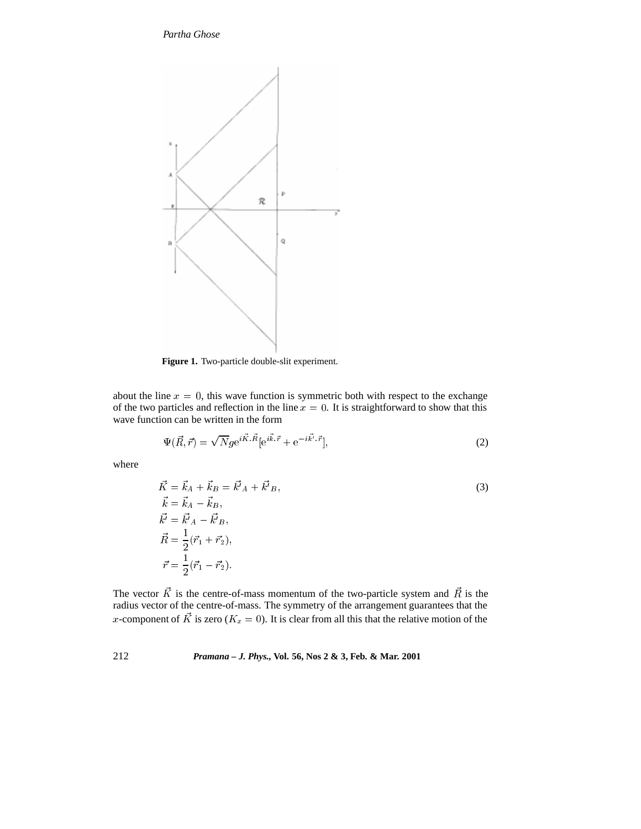## *Partha Ghose*



**Figure 1.** Two-particle double-slit experiment.

about the line  $x = 0$ , this wave function is symmetric both with respect to the exchange of the two particles and reflection in the line  $x = 0$ . It is straightforward to show that this wave function can be written in the form

$$
\Psi(\vec{R},\vec{r}) = \sqrt{N}g e^{i\vec{K}.\vec{R}}[e^{i\vec{k}.\vec{r}} + e^{-i\vec{k'}.\vec{r}}],\tag{2}
$$

where

$$
\vec{K} = \vec{k}_A + \vec{k}_B = \vec{k'}_A + \vec{k'}_B,
$$
\n
$$
\vec{k} = \vec{k}_A - \vec{k}_B,
$$
\n
$$
\vec{k'} = \vec{k'}_A - \vec{k'}_B,
$$
\n
$$
\vec{R} = \frac{1}{2}(\vec{r}_1 + \vec{r}_2),
$$
\n
$$
\vec{r} = \frac{1}{2}(\vec{r}_1 - \vec{r}_2).
$$
\n(3)

The vector K is the centre-of-mass momentum of the two-particle system and R is the radius vector of the centre-of-mass. The symmetry of the arrangement guarantees that the x-component of K is zero ( $K_x = 0$ ). It is clear from all this that the relative motion of the

# 212 *Pramana – J. Phys.,* **Vol. 56, Nos 2 & 3, Feb. & Mar. 2001**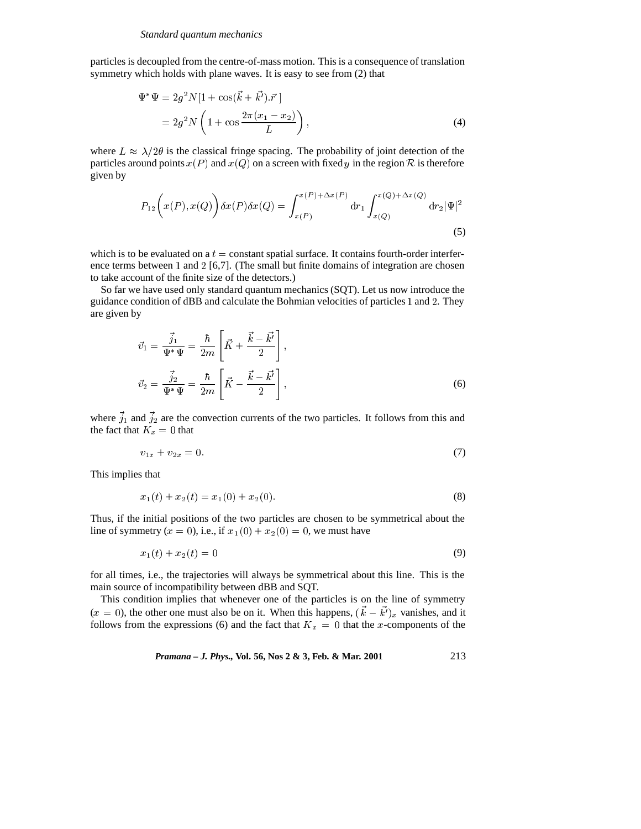particles is decoupled from the centre-of-mass motion. This is a consequence of translation symmetry which holds with plane waves. It is easy to see from (2) that

$$
\Psi^* \Psi = 2g^2 N [1 + \cos(\vec{k} + \vec{k'}) \cdot \vec{r}]
$$
  
=  $2g^2 N \left( 1 + \cos \frac{2\pi (x_1 - x_2)}{L} \right),$  (4)

where  $L \approx \lambda/2\theta$  is the classical fringe spacing. The probability of joint detection of the particles around points  $x(P)$  and  $x(Q)$  on a screen with fixed y in the region R is therefore given by

$$
P_{12}\left(x(P), x(Q)\right)\delta x(P)\delta x(Q) = \int_{x(P)}^{x(P)+\Delta x(P)} dr_1 \int_{x(Q)}^{x(Q)+\Delta x(Q)} dr_2 |\Psi|^2
$$
\n(5)

which is to be evaluated on a  $t =$  constant spatial surface. It contains fourth-order interference terms between 1 and 2 [6,7]. (The small but finite domains of integration are chosen to take account of the finite size of the detectors.)

So far we have used only standard quantum mechanics (SQT). Let us now introduce the guidance condition of dBB and calculate the Bohmian velocities of particles <sup>1</sup> and <sup>2</sup>. They are given by

$$
\vec{v}_1 = \frac{\vec{j}_1}{\Psi^* \Psi} = \frac{\hbar}{2m} \left[ \vec{K} + \frac{\vec{k} - \vec{k'}}{2} \right],
$$
  

$$
\vec{v}_2 = \frac{\vec{j}_2}{\Psi^* \Psi} = \frac{\hbar}{2m} \left[ \vec{K} - \frac{\vec{k} - \vec{k'}}{2} \right],
$$
 (6)

where  $\vec{j}_1$  and  $\vec{j}_2$  are the convection currents of the two particles. It follows from this and the fact that  $K_x = 0$  that

$$
v_{1x} + v_{2x} = 0.\t\t(7)
$$

This implies that

$$
x_1(t) + x_2(t) = x_1(0) + x_2(0).
$$
\n(8)

Thus, if the initial positions of the two particles are chosen to be symmetrical about the line of symmetry  $(x = 0)$ , i.e., if  $x_1(0) + x_2(0) = 0$ , we must have

$$
x_1(t) + x_2(t) = 0 \tag{9}
$$

for all times, i.e., the trajectories will always be symmetrical about this line. This is the main source of incompatibility between dBB and SQT.

This condition implies that whenever one of the particles is on the line of symmetry  $(x = 0)$ , the other one must also be on it. When this happens,  $(\vec{k} - \vec{k})_x$  vanishes, and it follows from the expressions (6) and the fact that  $K_x = 0$  that the x-components of the

*Pramana – J. Phys.*, Vol. 56, Nos 2 & 3, Feb. & Mar. 2001 
$$
213
$$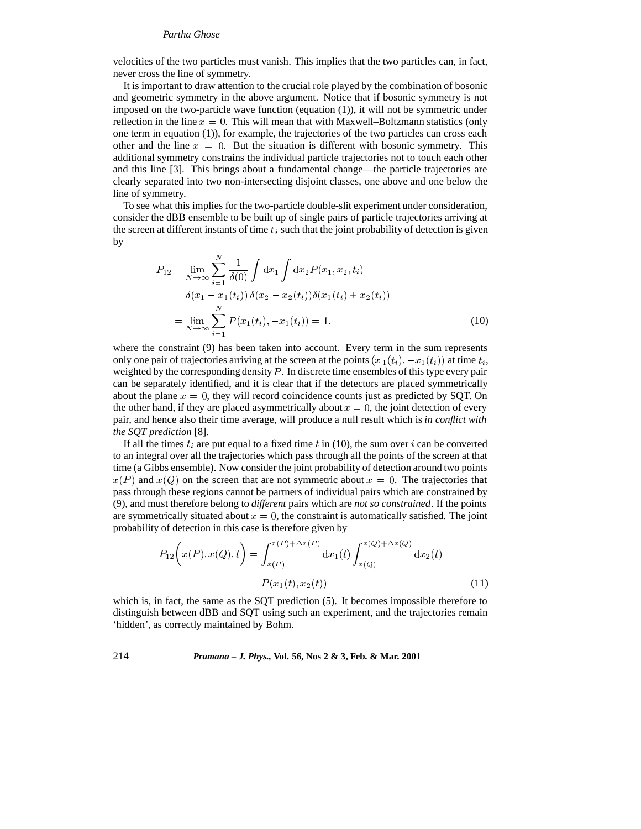#### *Partha Ghose*

velocities of the two particles must vanish. This implies that the two particles can, in fact, never cross the line of symmetry.

It is important to draw attention to the crucial role played by the combination of bosonic and geometric symmetry in the above argument. Notice that if bosonic symmetry is not imposed on the two-particle wave function (equation (1)), it will not be symmetric under reflection in the line  $x = 0$ . This will mean that with Maxwell–Boltzmann statistics (only one term in equation (1)), for example, the trajectories of the two particles can cross each other and the line  $x = 0$ . But the situation is different with bosonic symmetry. This additional symmetry constrains the individual particle trajectories not to touch each other and this line [3]. This brings about a fundamental change—the particle trajectories are clearly separated into two non-intersecting disjoint classes, one above and one below the line of symmetry.

To see what this implies for the two-particle double-slit experiment under consideration, consider the dBB ensemble to be built up of single pairs of particle trajectories arriving at the screen at different instants of time  $t_i$  such that the joint probability of detection is given by

$$
P_{12} = \lim_{N \to \infty} \sum_{i=1}^{N} \frac{1}{\delta(0)} \int dx_1 \int dx_2 P(x_1, x_2, t_i)
$$
  
\n
$$
\delta(x_1 - x_1(t_i)) \delta(x_2 - x_2(t_i)) \delta(x_1(t_i) + x_2(t_i))
$$
  
\n
$$
= \lim_{N \to \infty} \sum_{i=1}^{N} P(x_1(t_i), -x_1(t_i)) = 1,
$$
\n(10)

where the constraint (9) has been taken into account. Every term in the sum represents only one pair of trajectories arriving at the screen at the points  $(x_1(t_i), -x_1(t_i))$  at time  $t_i$ , weighted by the corresponding density  $P$ . In discrete time ensembles of this type every pair can be separately identified, and it is clear that if the detectors are placed symmetrically about the plane  $x = 0$ , they will record coincidence counts just as predicted by SQT. On the other hand, if they are placed asymmetrically about  $x = 0$ , the joint detection of every pair, and hence also their time average, will produce a null result which is *in conflict with the SQT prediction* [8].

If all the times  $t_i$  are put equal to a fixed time t in (10), the sum over i can be converted to an integral over all the trajectories which pass through all the points of the screen at that time (a Gibbs ensemble). Now consider the joint probability of detection around two points  $x(P)$  and  $x(Q)$  on the screen that are not symmetric about  $x = 0$ . The trajectories that pass through these regions cannot be partners of individual pairs which are constrained by (9), and must therefore belong to *different* pairs which are *not so constrained*. If the points are symmetrically situated about  $x = 0$ , the constraint is automatically satisfied. The joint probability of detection in this case is therefore given by

$$
P_{12}\left(x(P), x(Q), t\right) = \int_{x(P)}^{x(P) + \Delta x(P)} dx_1(t) \int_{x(Q)}^{x(Q) + \Delta x(Q)} dx_2(t)
$$

$$
P(x_1(t), x_2(t)) \tag{11}
$$

which is, in fact, the same as the SQT prediction (5). It becomes impossible therefore to distinguish between dBB and SQT using such an experiment, and the trajectories remain 'hidden', as correctly maintained by Bohm.

### 214 *Pramana – J. Phys.,* **Vol. 56, Nos 2 & 3, Feb. & Mar. 2001**